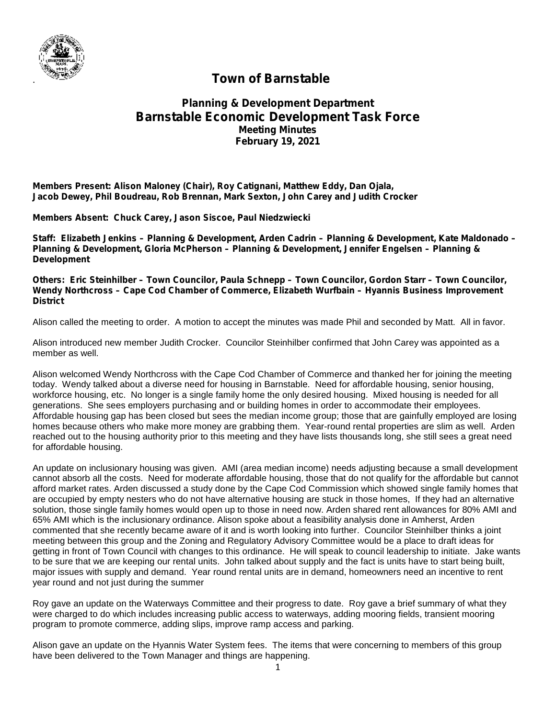

## . **Town of Barnstable**

## **Planning & Development Department Barnstable Economic Development Task Force Meeting Minutes February 19, 2021**

**Members Present: Alison Maloney (Chair), Roy Catignani, Matthew Eddy, Dan Ojala, Jacob Dewey, Phil Boudreau, Rob Brennan, Mark Sexton, John Carey and Judith Crocker**

**Members Absent: Chuck Carey, Jason Siscoe, Paul Niedzwiecki**

**Staff: Elizabeth Jenkins – Planning & Development, Arden Cadrin – Planning & Development, Kate Maldonado – Planning & Development, Gloria McPherson – Planning & Development, Jennifer Engelsen – Planning & Development**

**Others: Eric Steinhilber – Town Councilor, Paula Schnepp – Town Councilor, Gordon Starr – Town Councilor, Wendy Northcross – Cape Cod Chamber of Commerce, Elizabeth Wurfbain – Hyannis Business Improvement District**

Alison called the meeting to order. A motion to accept the minutes was made Phil and seconded by Matt. All in favor.

Alison introduced new member Judith Crocker. Councilor Steinhilber confirmed that John Carey was appointed as a member as well.

Alison welcomed Wendy Northcross with the Cape Cod Chamber of Commerce and thanked her for joining the meeting today. Wendy talked about a diverse need for housing in Barnstable. Need for affordable housing, senior housing, workforce housing, etc. No longer is a single family home the only desired housing. Mixed housing is needed for all generations. She sees employers purchasing and or building homes in order to accommodate their employees. Affordable housing gap has been closed but sees the median income group; those that are gainfully employed are losing homes because others who make more money are grabbing them. Year-round rental properties are slim as well. Arden reached out to the housing authority prior to this meeting and they have lists thousands long, she still sees a great need for affordable housing.

An update on inclusionary housing was given. AMI (area median income) needs adjusting because a small development cannot absorb all the costs. Need for moderate affordable housing, those that do not qualify for the affordable but cannot afford market rates. Arden discussed a study done by the Cape Cod Commission which showed single family homes that are occupied by empty nesters who do not have alternative housing are stuck in those homes, If they had an alternative solution, those single family homes would open up to those in need now. Arden shared rent allowances for 80% AMI and 65% AMI which is the inclusionary ordinance. Alison spoke about a feasibility analysis done in Amherst, Arden commented that she recently became aware of it and is worth looking into further. Councilor Steinhilber thinks a joint meeting between this group and the Zoning and Regulatory Advisory Committee would be a place to draft ideas for getting in front of Town Council with changes to this ordinance. He will speak to council leadership to initiate. Jake wants to be sure that we are keeping our rental units. John talked about supply and the fact is units have to start being built, major issues with supply and demand. Year round rental units are in demand, homeowners need an incentive to rent year round and not just during the summer

Roy gave an update on the Waterways Committee and their progress to date. Roy gave a brief summary of what they were charged to do which includes increasing public access to waterways, adding mooring fields, transient mooring program to promote commerce, adding slips, improve ramp access and parking.

Alison gave an update on the Hyannis Water System fees. The items that were concerning to members of this group have been delivered to the Town Manager and things are happening.